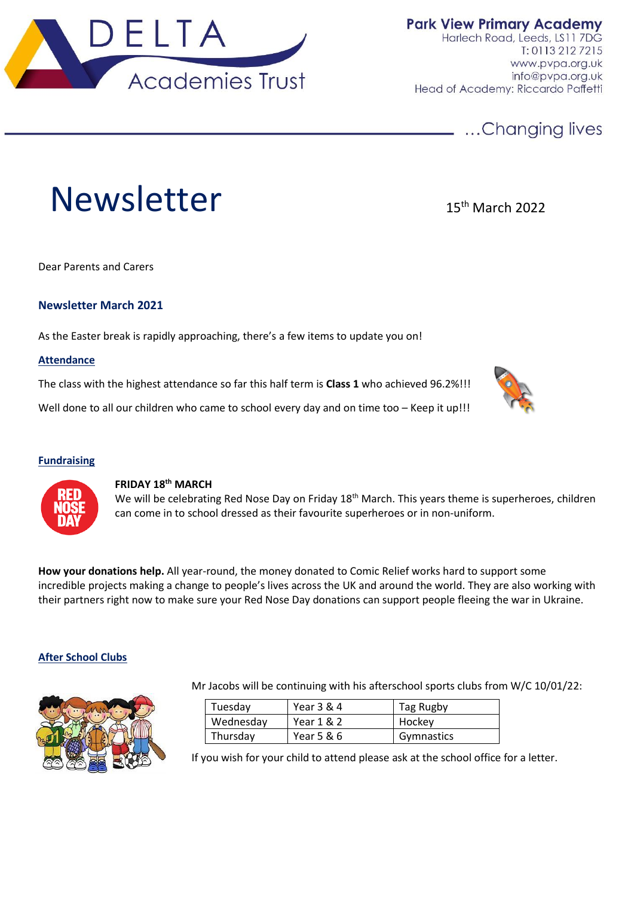

**Park View Primary Academy** Harlech Road, Leeds, LS11 7DG  $T: 01132127215$ www.pvpa.org.uk info@pvpa.org.uk Head of Academy: Riccardo Paffetti

# ...Changing lives

# Newsletter 15th March 2022

Dear Parents and Carers

## **Newsletter March 2021**

As the Easter break is rapidly approaching, there's a few items to update you on!

#### **Attendance**

The class with the highest attendance so far this half term is **Class 1** who achieved 96.2%!!!

Well done to all our children who came to school every day and on time too – Keep it up!!!

# **Fundraising**

# **FRIDAY 18 th MARCH**

We will be celebrating Red Nose Day on Friday 18<sup>th</sup> March. This years theme is superheroes, children can come in to school dressed as their favourite superheroes or in non-uniform.

**How your donations help.** All year-round, the money donated to Comic Relief works hard to support some incredible projects making a change to people's lives across the UK and around the world. They are also working with their partners right now to make sure your Red Nose Day donations can support people fleeing the war in Ukraine.

#### **After School Clubs**



Mr Jacobs will be continuing with his afterschool sports clubs from W/C 10/01/22:

| Tuesday   | Year 3 & 4   | Tag Rugby  |
|-----------|--------------|------------|
| Wednesday | Year 1 & 2   | Hockey     |
| Thursday  | Year $5 & 6$ | Gymnastics |

If you wish for your child to attend please ask at the school office for a letter.